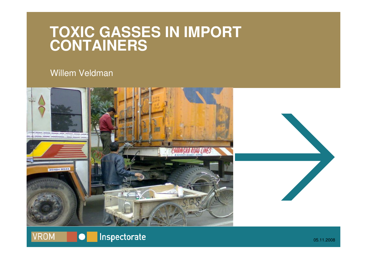#### **TOXIC GASSES IN IMPORT CONTAINERS**

#### Willem Veldman





05.11.2008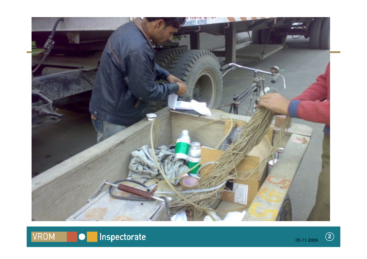

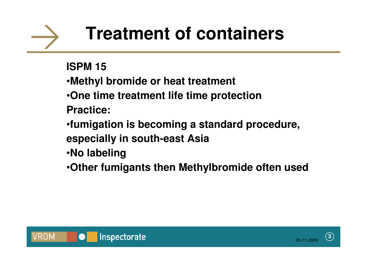# **Treatment of containers**

#### **ISPM 15**

•**Methyl bromide or heat treatment**

- •**One time treatment life time protection**
- **Practice:**
- •**fumigation is becoming a standard procedure,**
- **especially in south-east Asia**
- •**No labeling**
- •**Other fumigants then Methylbromide often used**

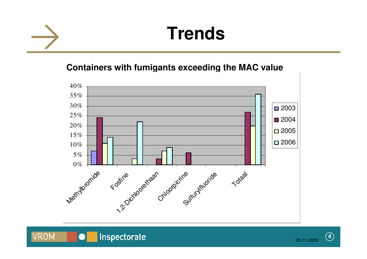### **Trends**

**Containers with fumigants exceeding the MAC value**



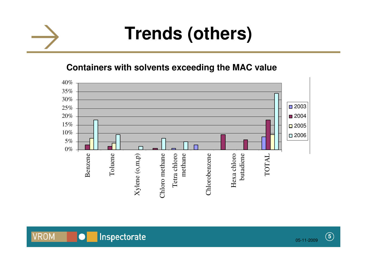## **Trends (others)**

**Containers with solvents exceeding the MAC value**

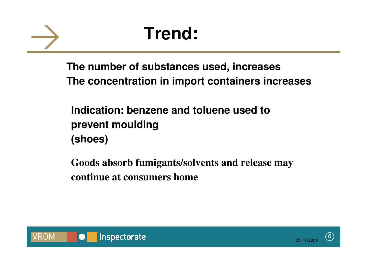

### **Trend:**

**The number of substances used, increasesThe concentration in import containers increases**

**Indication: benzene and toluene used to prevent moulding (shoes)** 

**Goods absorb fumigants/solvents and release may continue at consumers home**



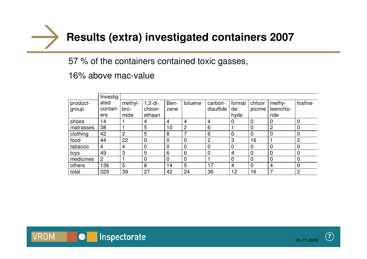#### **Results (extra) investigated containers 2007**

57 % of the containers contained toxic gasses,

#### 16% above mac-value

|           | Investig       |                |             |             |                |                |        |         |           |                |
|-----------|----------------|----------------|-------------|-------------|----------------|----------------|--------|---------|-----------|----------------|
| product-  | ated           | methyl-        | $1, 2$ -di- | Ben-        | toluene        | carbon-        | formal | chloor  | methy-    | fosfine        |
| group     | contain        | bro-           | chloor-     | zene        |                | disulfide      | de-    | picrine | leenchlo- |                |
|           | ers            | mide           | ethaan      |             |                |                | hyde   |         | ride      |                |
| shoes     | 14             |                | 4           | 4           | $\overline{4}$ | $\overline{4}$ | 0      | 0       | 0         | 0              |
| matrasses | 38             |                | 5           | 10          | $\overline{2}$ | 6              |        | 0       | 2         | 0              |
| clothing  | 42             | $\overline{2}$ | 5           | 8           |                | 6              | 0      | 0       | 0         | 0              |
| food      | 44             | 22             | 0           | 0           | $\overline{0}$ | $\overline{2}$ | 3      | 16      |           | $\overline{2}$ |
| tabacco   | 4              | $\overline{4}$ | 0           | 0           | $\overline{0}$ | 0              | 0      | 0       | 0         | 0              |
| toys      | 49             | 3              | 5           | 6           | 6              | $\mathbf 0$    | 4      | 0       | 0         | 0              |
| medicines | $\overline{2}$ |                | 0           | $\mathbf 0$ | $\mathbf 0$    |                | 0      | 0       | 0         | 0              |
| others    | 136            | 5              | 8           | 14          | 5              | 17             | 4      | 0       | 4         | 0              |
| total     | 329            | 39             | 27          | 42          | 24             | 36             | 12     | 16      |           | $\overline{2}$ |

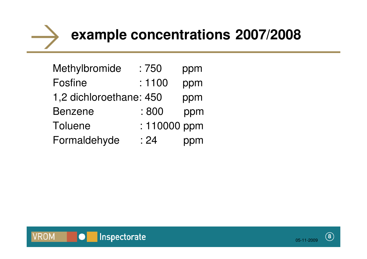### **example concentrations 2007/2008**

| Methylbromide           | :750         | ppm |
|-------------------------|--------------|-----|
| <b>Fosfine</b>          | : 1100       | ppm |
| 1,2 dichloroethane: 450 |              | ppm |
| <b>Benzene</b>          | : 800        | ppm |
| <b>Toluene</b>          | : 110000 ppm |     |
| Formaldehyde            | : 24         | ppm |

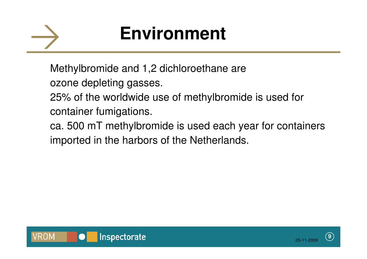

## **Environment**

Methylbromide and 1,2 dichloroethane are

ozone depleting gasses.

25% of the worldwide use of methylbromide is used forcontainer fumigations.

ca. 500 mT methylbromide is used each year for containersimported in the harbors of the Netherlands.

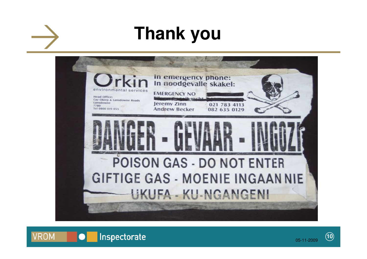